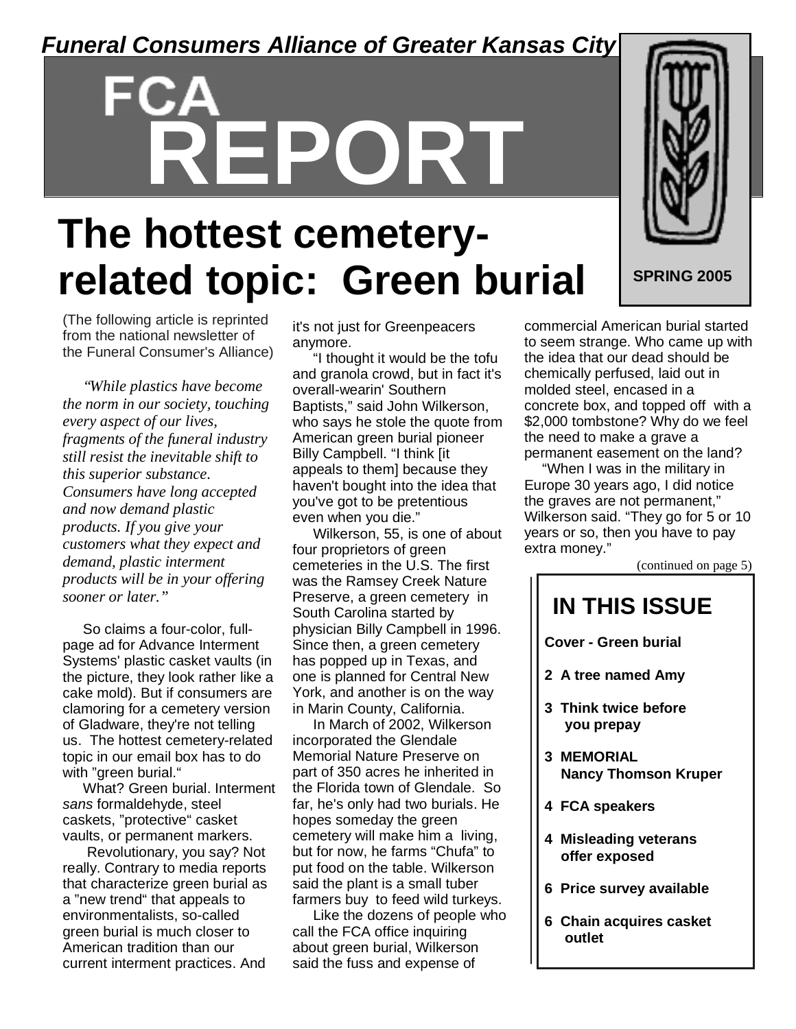### *Funeral Consumers Alliance of Greater Kansas City*

# **REPORT**

# **SPRING 2005**

# **The hottest cemeteryrelated topic: Green burial**

(The following article is reprinted from the national newsletter of the Funeral Consumer's Alliance)

*"While plastics have become the norm in our society, touching every aspect of our lives, fragments of the funeral industry still resist the inevitable shift to this superior substance. Consumers have long accepted and now demand plastic products. If you give your customers what they expect and demand, plastic interment products will be in your offering sooner or later."*

So claims a four-color, fullpage ad for Advance Interment Systems' plastic casket vaults (in the picture, they look rather like a cake mold). But if consumers are clamoring for a cemetery version of Gladware, they're not telling us. The hottest cemetery-related topic in our email box has to do with "green burial."

What? Green burial. Interment *sans* formaldehyde, steel caskets, "protective" casket vaults, or permanent markers.

Revolutionary, you say? Not really. Contrary to media reports that characterize green burial as a "new trend" that appeals to environmentalists, so-called green burial is much closer to American tradition than our current interment practices. And

it's not just for Greenpeacers anymore.

"I thought it would be the tofu and granola crowd, but in fact it's overall-wearin' Southern Baptists," said John Wilkerson, who says he stole the quote from American green burial pioneer Billy Campbell. "I think [it appeals to them] because they haven't bought into the idea that you've got to be pretentious even when you die."

Wilkerson, 55, is one of about four proprietors of green cemeteries in the U.S. The first was the Ramsey Creek Nature Preserve, a green cemetery in South Carolina started by physician Billy Campbell in 1996. Since then, a green cemetery has popped up in Texas, and one is planned for Central New York, and another is on the way in Marin County, California.

In March of 2002, Wilkerson incorporated the Glendale Memorial Nature Preserve on part of 350 acres he inherited in the Florida town of Glendale. So far, he's only had two burials. He hopes someday the green cemetery will make him a living, but for now, he farms "Chufa" to put food on the table. Wilkerson said the plant is a small tuber farmers buy to feed wild turkeys.

Like the dozens of people who call the FCA office inquiring about green burial, Wilkerson said the fuss and expense of

commercial American burial started to seem strange. Who came up with the idea that our dead should be chemically perfused, laid out in molded steel, encased in a concrete box, and topped off with a \$2,000 tombstone? Why do we feel the need to make a grave a permanent easement on the land?

"When I was in the military in Europe 30 years ago, I did notice the graves are not permanent," Wilkerson said. "They go for 5 or 10 years or so, then you have to pay extra money."

(continued on page 5)

# **IN THIS ISSUE**

**Cover - Green burial**

- **2 A tree named Amy**
- **3 Think twice before you prepay**
- **3 MEMORIAL Nancy Thomson Kruper**
- **4 FCA speakers**
- **4 Misleading veterans offer exposed**
- **6 Price survey available**
- **6 Chain acquires casket outlet**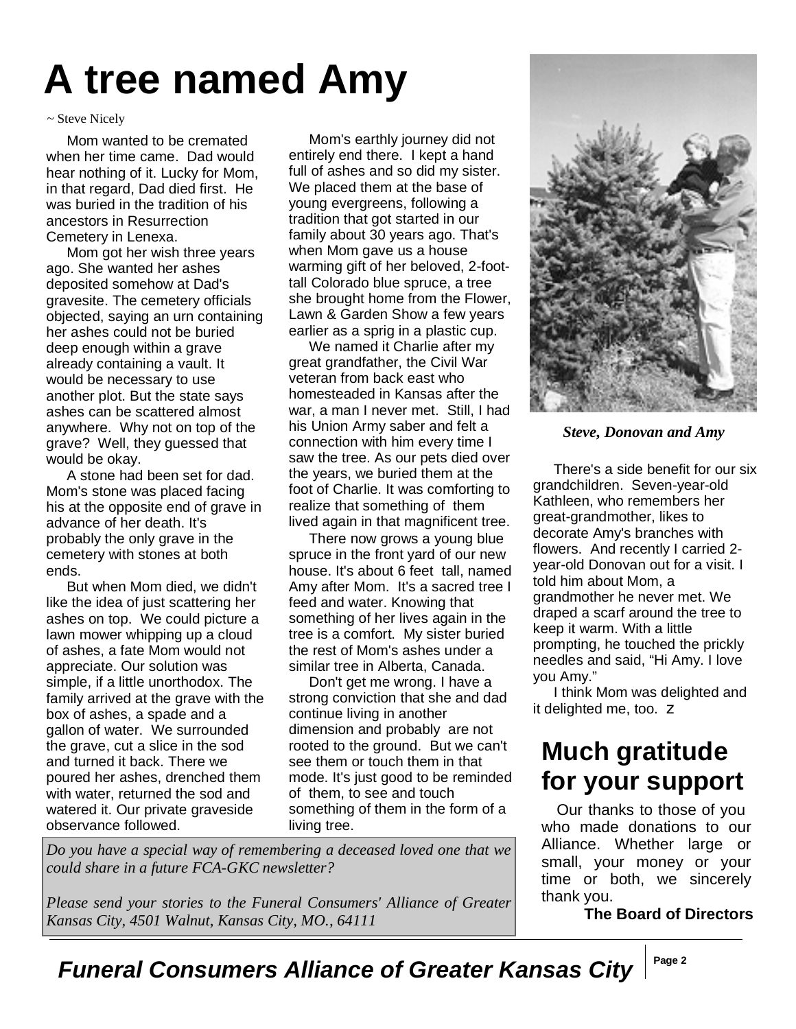# **A tree named Amy**

### ~ Steve Nicely

Mom wanted to be cremated when her time came. Dad would hear nothing of it. Lucky for Mom, in that regard, Dad died first. He was buried in the tradition of his ancestors in Resurrection Cemetery in Lenexa.

Mom got her wish three years ago. She wanted her ashes deposited somehow at Dad's gravesite. The cemetery officials objected, saying an urn containing her ashes could not be buried deep enough within a grave already containing a vault. It would be necessary to use another plot. But the state says ashes can be scattered almost anywhere. Why not on top of the grave? Well, they guessed that would be okay.

A stone had been set for dad. Mom's stone was placed facing his at the opposite end of grave in advance of her death. It's probably the only grave in the cemetery with stones at both ends.

But when Mom died, we didn't like the idea of just scattering her ashes on top. We could picture a lawn mower whipping up a cloud of ashes, a fate Mom would not appreciate. Our solution was simple, if a little unorthodox. The family arrived at the grave with the box of ashes, a spade and a gallon of water. We surrounded the grave, cut a slice in the sod and turned it back. There we poured her ashes, drenched them with water, returned the sod and watered it. Our private graveside observance followed.

Mom's earthly journey did not entirely end there. I kept a hand full of ashes and so did my sister. We placed them at the base of young evergreens, following a tradition that got started in our family about 30 years ago. That's when Mom gave us a house warming gift of her beloved, 2-foottall Colorado blue spruce, a tree she brought home from the Flower, Lawn & Garden Show a few years earlier as a sprig in a plastic cup.

We named it Charlie after my great grandfather, the Civil War veteran from back east who homesteaded in Kansas after the war, a man I never met. Still, I had his Union Army saber and felt a connection with him every time I saw the tree. As our pets died over the years, we buried them at the foot of Charlie. It was comforting to realize that something of them lived again in that magnificent tree.

There now grows a young blue spruce in the front yard of our new house. It's about 6 feet tall, named Amy after Mom. It's a sacred tree I feed and water. Knowing that something of her lives again in the tree is a comfort. My sister buried the rest of Mom's ashes under a similar tree in Alberta, Canada.

Don't get me wrong. I have a strong conviction that she and dad continue living in another dimension and probably are not rooted to the ground. But we can't see them or touch them in that mode. It's just good to be reminded of them, to see and touch something of them in the form of a living tree.

*Do you have a special way of remembering a deceased loved one that we could share in a future FCA-GKC newsletter?*

*Please send your stories to the Funeral Consumers' Alliance of Greater Kansas City, 4501 Walnut, Kansas City, MO., 64111*



*Steve, Donovan and Amy*

There's a side benefit for our six grandchildren. Seven-year-old Kathleen, who remembers her great-grandmother, likes to decorate Amy's branches with flowers. And recently I carried 2 year-old Donovan out for a visit. I told him about Mom, a grandmother he never met. We draped a scarf around the tree to keep it warm. With a little prompting, he touched the prickly needles and said, "Hi Amy. I love you Amy."

I think Mom was delighted and it delighted me, too. z

## **Much gratitude for your support**

Our thanks to those of you who made donations to our Alliance. Whether large or small, your money or your time or both, we sincerely thank you.

**The Board of Directors**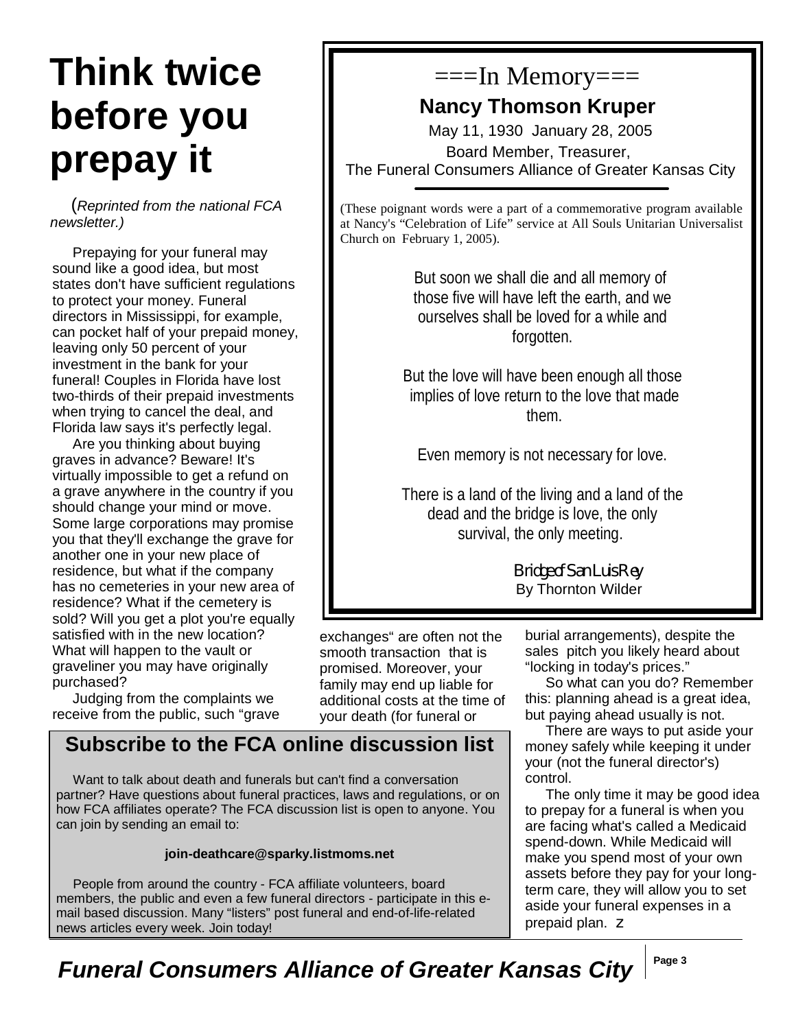# **Think twice before you prepay it**

(*Reprinted from the national FCA newsletter.)*

Prepaying for your funeral may sound like a good idea, but most states don't have sufficient regulations to protect your money. Funeral directors in Mississippi, for example, can pocket half of your prepaid money, leaving only 50 percent of your investment in the bank for your funeral! Couples in Florida have lost two-thirds of their prepaid investments when trying to cancel the deal, and Florida law says it's perfectly legal.

Are you thinking about buying graves in advance? Beware! It's virtually impossible to get a refund on a grave anywhere in the country if you should change your mind or move. Some large corporations may promise you that they'll exchange the grave for another one in your new place of residence, but what if the company has no cemeteries in your new area of residence? What if the cemetery is sold? Will you get a plot you're equally satisfied with in the new location? What will happen to the vault or graveliner you may have originally purchased?

Judging from the complaints we receive from the public, such "grave

# $===In$  Memory $==$

### **Nancy Thomson Kruper**

May 11, 1930 January 28, 2005 Board Member, Treasurer, The Funeral Consumers Alliance of Greater Kansas City

(These poignant words were a part of a commemorative program available at Nancy's "Celebration of Life" service at All Souls Unitarian Universalist Church on February 1, 2005).

> But soon we shall die and all memory of those five will have left the earth, and we ourselves shall be loved for a while and forgotten.

But the love will have been enough all those implies of love return to the love that made them.

Even memory is not necessary for love.

There is a land of the living and a land of the dead and the bridge is love, the only survival, the only meeting.

> Bridge of San Luis Rey By Thornton Wilder

exchanges" are often not the smooth transaction that is promised. Moreover, your family may end up liable for additional costs at the time of your death (for funeral or

### **Subscribe to the FCA online discussion list**

Want to talk about death and funerals but can't find a conversation partner? Have questions about funeral practices, laws and regulations, or on how FCA affiliates operate? The FCA discussion list is open to anyone. You can join by sending an email to:

### **join-deathcare@sparky.listmoms.net**

People from around the country - FCA affiliate volunteers, board members, the public and even a few funeral directors - participate in this email based discussion. Many "listers" post funeral and end-of-life-related news articles every week. Join today!

burial arrangements), despite the sales pitch you likely heard about "locking in today's prices."

So what can you do? Remember this: planning ahead is a great idea, but paying ahead usually is not.

There are ways to put aside your money safely while keeping it under your (not the funeral director's) control.

The only time it may be good idea to prepay for a funeral is when you are facing what's called a Medicaid spend-down. While Medicaid will make you spend most of your own assets before they pay for your longterm care, they will allow you to set aside your funeral expenses in a prepaid plan. z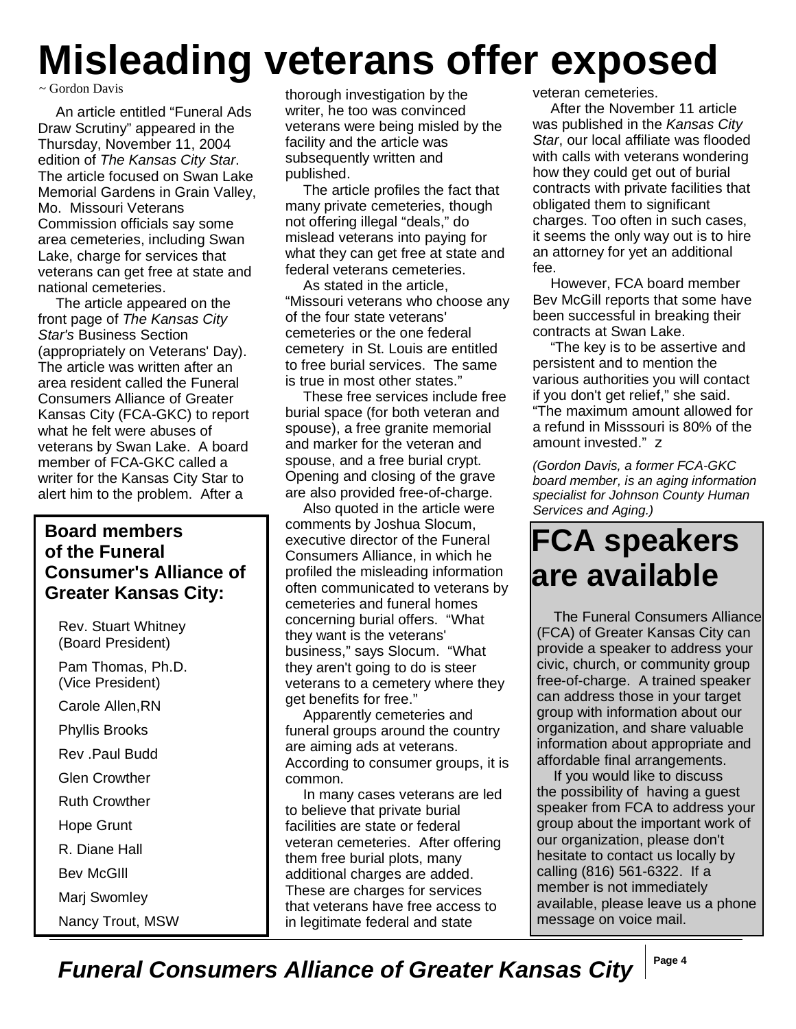# **Misleading veterans offer exposed**

### ~ Gordon Davis

An article entitled "Funeral Ads Draw Scrutiny" appeared in the Thursday, November 11, 2004 edition of *The Kansas City Star*. The article focused on Swan Lake Memorial Gardens in Grain Valley, Mo. Missouri Veterans Commission officials say some area cemeteries, including Swan Lake, charge for services that veterans can get free at state and national cemeteries.

The article appeared on the front page of *The Kansas City Star's* Business Section (appropriately on Veterans' Day). The article was written after an area resident called the Funeral Consumers Alliance of Greater Kansas City (FCA-GKC) to report what he felt were abuses of veterans by Swan Lake. A board member of FCA-GKC called a writer for the Kansas City Star to alert him to the problem. After a

### **Board members of the Funeral Consumer's Alliance of Greater Kansas City:**

Rev. Stuart Whitney (Board President) Pam Thomas, Ph.D. (Vice President) Carole Allen,RN Phyllis Brooks Rev .Paul Budd Glen Crowther Ruth Crowther Hope Grunt R. Diane Hall Bev McGIll Marj Swomley Nancy Trout, MSW

thorough investigation by the writer, he too was convinced veterans were being misled by the facility and the article was subsequently written and published.

The article profiles the fact that many private cemeteries, though not offering illegal "deals," do mislead veterans into paying for what they can get free at state and federal veterans cemeteries.

As stated in the article, "Missouri veterans who choose any of the four state veterans' cemeteries or the one federal cemetery in St. Louis are entitled to free burial services. The same is true in most other states."

These free services include free burial space (for both veteran and spouse), a free granite memorial and marker for the veteran and spouse, and a free burial crypt. Opening and closing of the grave are also provided free-of-charge.

Also quoted in the article were comments by Joshua Slocum, executive director of the Funeral Consumers Alliance, in which he profiled the misleading information often communicated to veterans by cemeteries and funeral homes concerning burial offers. "What they want is the veterans' business," says Slocum. "What they aren't going to do is steer veterans to a cemetery where they get benefits for free."

Apparently cemeteries and funeral groups around the country are aiming ads at veterans. According to consumer groups, it is common.

In many cases veterans are led to believe that private burial facilities are state or federal veteran cemeteries. After offering them free burial plots, many additional charges are added. These are charges for services that veterans have free access to in legitimate federal and state

veteran cemeteries.

After the November 11 article was published in the *Kansas City Star*, our local affiliate was flooded with calls with veterans wondering how they could get out of burial contracts with private facilities that obligated them to significant charges. Too often in such cases, it seems the only way out is to hire an attorney for yet an additional fee.

However, FCA board member Bev McGill reports that some have been successful in breaking their contracts at Swan Lake.

"The key is to be assertive and persistent and to mention the various authorities you will contact if you don't get relief," she said. "The maximum amount allowed for a refund in Misssouri is 80% of the amount invested." z

*(Gordon Davis, a former FCA-GKC board member, is an aging information specialist for Johnson County Human Services and Aging.)*

# **FCA speakers are available**

The Funeral Consumers Alliance (FCA) of Greater Kansas City can provide a speaker to address your civic, church, or community group free-of-charge. A trained speaker can address those in your target group with information about our organization, and share valuable information about appropriate and affordable final arrangements.

If you would like to discuss the possibility of having a guest speaker from FCA to address your group about the important work of our organization, please don't hesitate to contact us locally by calling (816) 561-6322. If a member is not immediately available, please leave us a phone message on voice mail.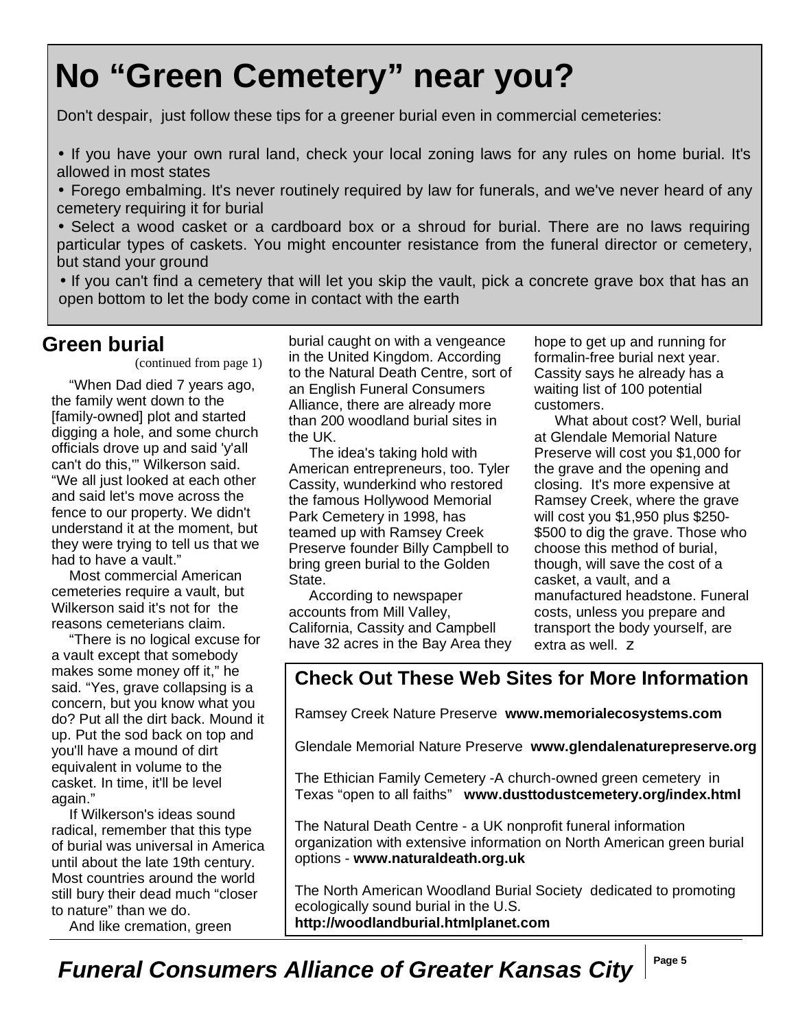# **No "Green Cemetery" near you?**

Don't despair, just follow these tips for a greener burial even in commercial cemeteries:

• If you have your own rural land, check your local zoning laws for any rules on home burial. It's allowed in most states

• Forego embalming. It's never routinely required by law for funerals, and we've never heard of any cemetery requiring it for burial

• Select a wood casket or a cardboard box or a shroud for burial. There are no laws requiring particular types of caskets. You might encounter resistance from the funeral director or cemetery, but stand your ground

• If you can't find a cemetery that will let you skip the vault, pick a concrete grave box that has an open bottom to let the body come in contact with the earth

### **Green burial**

(continued from page 1)

"When Dad died 7 years ago, the family went down to the [family-owned] plot and started digging a hole, and some church officials drove up and said 'y'all can't do this,'" Wilkerson said. "We all just looked at each other and said let's move across the fence to our property. We didn't understand it at the moment, but they were trying to tell us that we had to have a vault."

Most commercial American cemeteries require a vault, but Wilkerson said it's not for the reasons cemeterians claim.

"There is no logical excuse for a vault except that somebody makes some money off it," he said. "Yes, grave collapsing is a concern, but you know what you do? Put all the dirt back. Mound it up. Put the sod back on top and you'll have a mound of dirt equivalent in volume to the casket. In time, it'll be level again."

If Wilkerson's ideas sound radical, remember that this type of burial was universal in America until about the late 19th century. Most countries around the world still bury their dead much "closer to nature" than we do.

And like cremation, green

burial caught on with a vengeance in the United Kingdom. According to the Natural Death Centre, sort of an English Funeral Consumers Alliance, there are already more than 200 woodland burial sites in the UK.

The idea's taking hold with American entrepreneurs, too. Tyler Cassity, wunderkind who restored the famous Hollywood Memorial Park Cemetery in 1998, has teamed up with Ramsey Creek Preserve founder Billy Campbell to bring green burial to the Golden State.

According to newspaper accounts from Mill Valley, California, Cassity and Campbell have 32 acres in the Bay Area they hope to get up and running for formalin-free burial next year. Cassity says he already has a waiting list of 100 potential customers.

What about cost? Well, burial at Glendale Memorial Nature Preserve will cost you \$1,000 for the grave and the opening and closing. It's more expensive at Ramsey Creek, where the grave will cost you \$1,950 plus \$250- \$500 to dig the grave. Those who choose this method of burial, though, will save the cost of a casket, a vault, and a manufactured headstone. Funeral costs, unless you prepare and transport the body yourself, are extra as well. z

### **Check Out These Web Sites for More Information**

Ramsey Creek Nature Preserve **www.memorialecosystems.com**

Glendale Memorial Nature Preserve **www.glendalenaturepreserve.org**

The Ethician Family Cemetery -A church-owned green cemetery in Texas "open to all faiths" **www.dusttodustcemetery.org/index.html**

The Natural Death Centre - a UK nonprofit funeral information organization with extensive information on North American green burial options - **www.naturaldeath.org.uk**

The North American Woodland Burial Society dedicated to promoting ecologically sound burial in the U.S. **http://woodlandburial.htmlplanet.com**